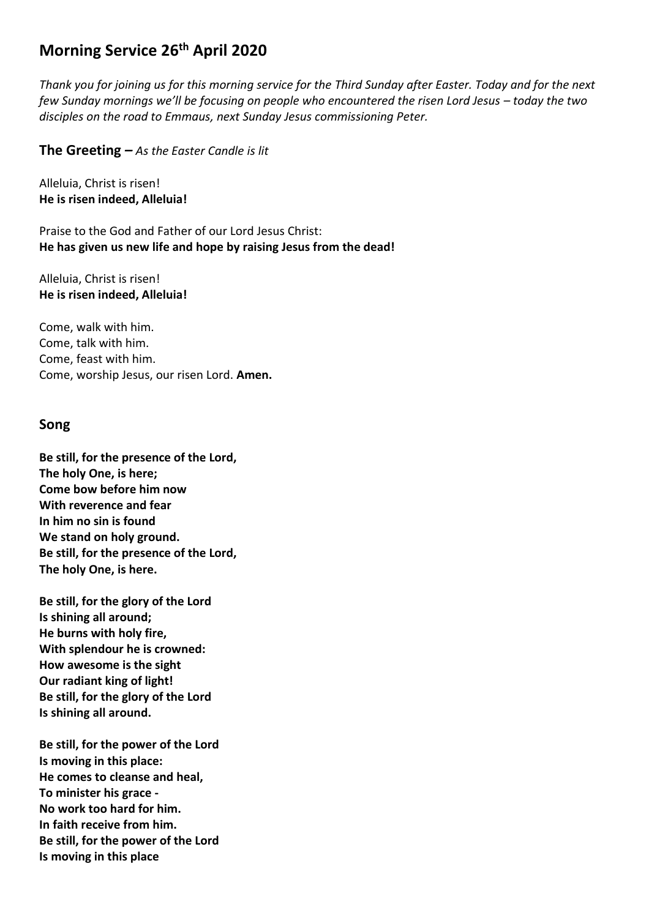# **Morning Service 26th April 2020**

*Thank you for joining us for this morning service for the Third Sunday after Easter. Today and for the next few Sunday mornings we'll be focusing on people who encountered the risen Lord Jesus – today the two disciples on the road to Emmaus, next Sunday Jesus commissioning Peter.*

**The Greeting** *– As the Easter Candle is lit*

Alleluia, Christ is risen! **He is risen indeed, Alleluia!**

Praise to the God and Father of our Lord Jesus Christ: **He has given us new life and hope by raising Jesus from the dead!**

Alleluia, Christ is risen! **He is risen indeed, Alleluia!**

Come, walk with him. Come, talk with him. Come, feast with him. Come, worship Jesus, our risen Lord. **Amen.**

#### **Song**

**Be still, for the presence of the Lord, The holy One, is here; Come bow before him now With reverence and fear In him no sin is found We stand on holy ground. Be still, for the presence of the Lord, The holy One, is here.**

**Be still, for the glory of the Lord Is shining all around; He burns with holy fire, With splendour he is crowned: How awesome is the sight Our radiant king of light! Be still, for the glory of the Lord Is shining all around.**

**Be still, for the power of the Lord Is moving in this place: He comes to cleanse and heal, To minister his grace - No work too hard for him. In faith receive from him. Be still, for the power of the Lord Is moving in this place**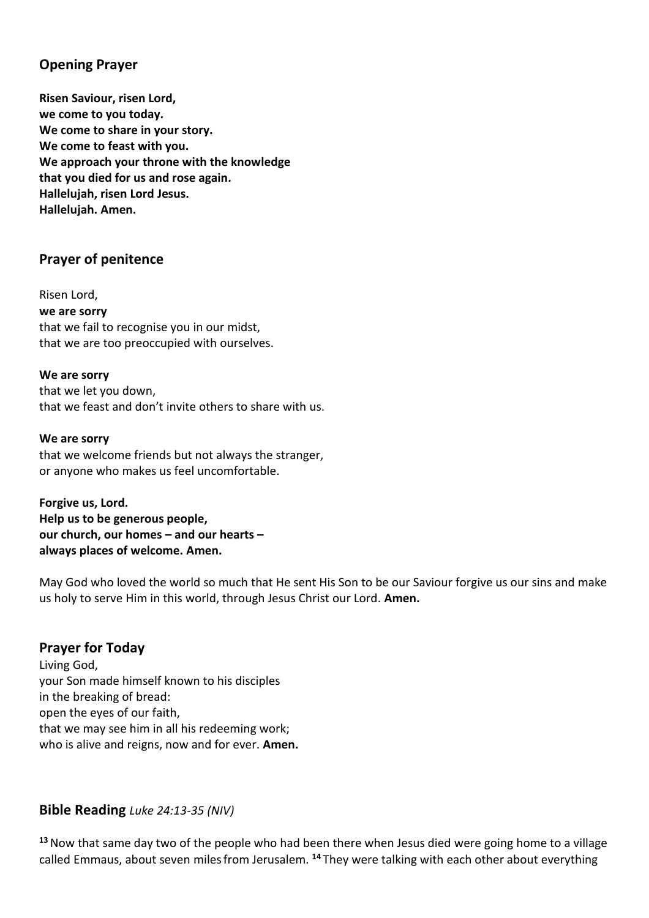### **Opening Prayer**

**Risen Saviour, risen Lord, we come to you today. We come to share in your story. We come to feast with you. We approach your throne with the knowledge that you died for us and rose again. Hallelujah, risen Lord Jesus. Hallelujah. Amen.**

### **Prayer of penitence**

Risen Lord, **we are sorry** that we fail to recognise you in our midst, that we are too preoccupied with ourselves.

**We are sorry** that we let you down, that we feast and don't invite others to share with us.

#### **We are sorry**

that we welcome friends but not always the stranger, or anyone who makes us feel uncomfortable.

**Forgive us, Lord. Help us to be generous people, our church, our homes – and our hearts – always places of welcome. Amen.**

May God who loved the world so much that He sent His Son to be our Saviour forgive us our sins and make us holy to serve Him in this world, through Jesus Christ our Lord. **Amen.**

### **Prayer for Today**

Living God, your Son made himself known to his disciples in the breaking of bread: open the eyes of our faith, that we may see him in all his redeeming work; who is alive and reigns, now and for ever. **Amen.**

#### **Bible Reading** *Luke 24:13-35 (NIV)*

**<sup>13</sup>**Now that same day two of the people who had been there when Jesus died were going home to a village called Emmaus, about seven milesfrom Jerusalem. **<sup>14</sup>** They were talking with each other about everything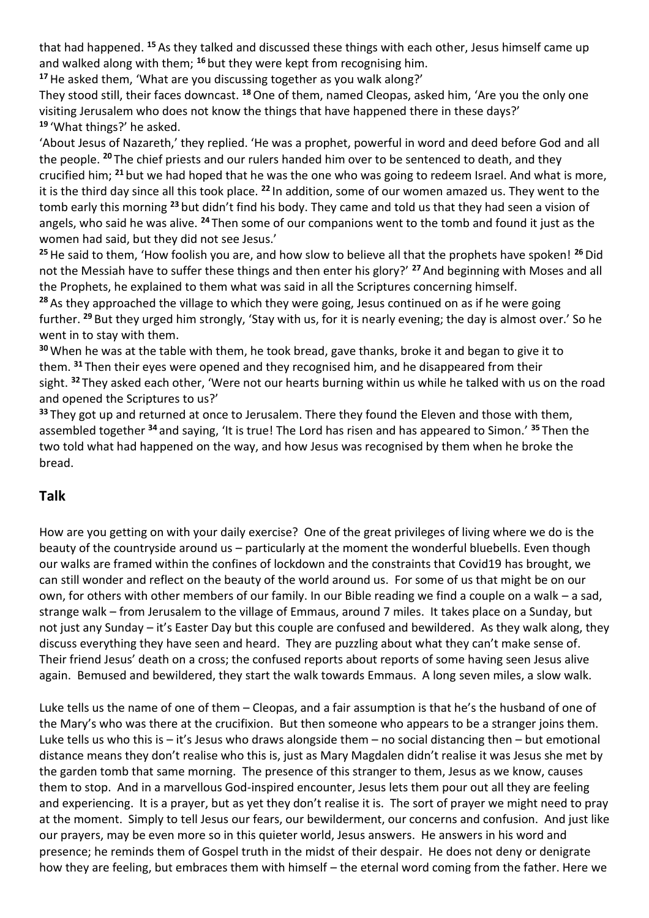that had happened. **<sup>15</sup>** As they talked and discussed these things with each other, Jesus himself came up and walked along with them; **<sup>16</sup>** but they were kept from recognising him.

**<sup>17</sup>**He asked them, 'What are you discussing together as you walk along?'

They stood still, their faces downcast. **<sup>18</sup>**One of them, named Cleopas, asked him, 'Are you the only one visiting Jerusalem who does not know the things that have happened there in these days?' **<sup>19</sup>** 'What things?' he asked.

'About Jesus of Nazareth,' they replied. 'He was a prophet, powerful in word and deed before God and all the people. **<sup>20</sup>** The chief priests and our rulers handed him over to be sentenced to death, and they crucified him; **<sup>21</sup>** but we had hoped that he was the one who was going to redeem Israel. And what is more, it is the third day since all this took place. **<sup>22</sup>** In addition, some of our women amazed us. They went to the tomb early this morning **<sup>23</sup>** but didn't find his body. They came and told us that they had seen a vision of angels, who said he was alive. **<sup>24</sup>** Then some of our companions went to the tomb and found it just as the women had said, but they did not see Jesus.'

**<sup>25</sup>**He said to them, 'How foolish you are, and how slow to believe all that the prophets have spoken! **<sup>26</sup>**Did not the Messiah have to suffer these things and then enter his glory?' **<sup>27</sup>** And beginning with Moses and all the Prophets, he explained to them what was said in all the Scriptures concerning himself.

**<sup>28</sup>** As they approached the village to which they were going, Jesus continued on as if he were going further. **<sup>29</sup>** But they urged him strongly, 'Stay with us, for it is nearly evening; the day is almost over.' So he went in to stay with them.

**<sup>30</sup>** When he was at the table with them, he took bread, gave thanks, broke it and began to give it to them. **<sup>31</sup>** Then their eyes were opened and they recognised him, and he disappeared from their sight. **<sup>32</sup>** They asked each other, 'Were not our hearts burning within us while he talked with us on the road and opened the Scriptures to us?'

**<sup>33</sup>** They got up and returned at once to Jerusalem. There they found the Eleven and those with them, assembled together **<sup>34</sup>** and saying, 'It is true! The Lord has risen and has appeared to Simon.' **<sup>35</sup>** Then the two told what had happened on the way, and how Jesus was recognised by them when he broke the bread.

## **Talk**

How are you getting on with your daily exercise? One of the great privileges of living where we do is the beauty of the countryside around us – particularly at the moment the wonderful bluebells. Even though our walks are framed within the confines of lockdown and the constraints that Covid19 has brought, we can still wonder and reflect on the beauty of the world around us. For some of us that might be on our own, for others with other members of our family. In our Bible reading we find a couple on a walk – a sad, strange walk – from Jerusalem to the village of Emmaus, around 7 miles. It takes place on a Sunday, but not just any Sunday – it's Easter Day but this couple are confused and bewildered. As they walk along, they discuss everything they have seen and heard. They are puzzling about what they can't make sense of. Their friend Jesus' death on a cross; the confused reports about reports of some having seen Jesus alive again. Bemused and bewildered, they start the walk towards Emmaus. A long seven miles, a slow walk.

Luke tells us the name of one of them – Cleopas, and a fair assumption is that he's the husband of one of the Mary's who was there at the crucifixion. But then someone who appears to be a stranger joins them. Luke tells us who this is  $-$  it's Jesus who draws alongside them  $-$  no social distancing then  $-$  but emotional distance means they don't realise who this is, just as Mary Magdalen didn't realise it was Jesus she met by the garden tomb that same morning. The presence of this stranger to them, Jesus as we know, causes them to stop. And in a marvellous God-inspired encounter, Jesus lets them pour out all they are feeling and experiencing. It is a prayer, but as yet they don't realise it is. The sort of prayer we might need to pray at the moment. Simply to tell Jesus our fears, our bewilderment, our concerns and confusion. And just like our prayers, may be even more so in this quieter world, Jesus answers. He answers in his word and presence; he reminds them of Gospel truth in the midst of their despair. He does not deny or denigrate how they are feeling, but embraces them with himself – the eternal word coming from the father. Here we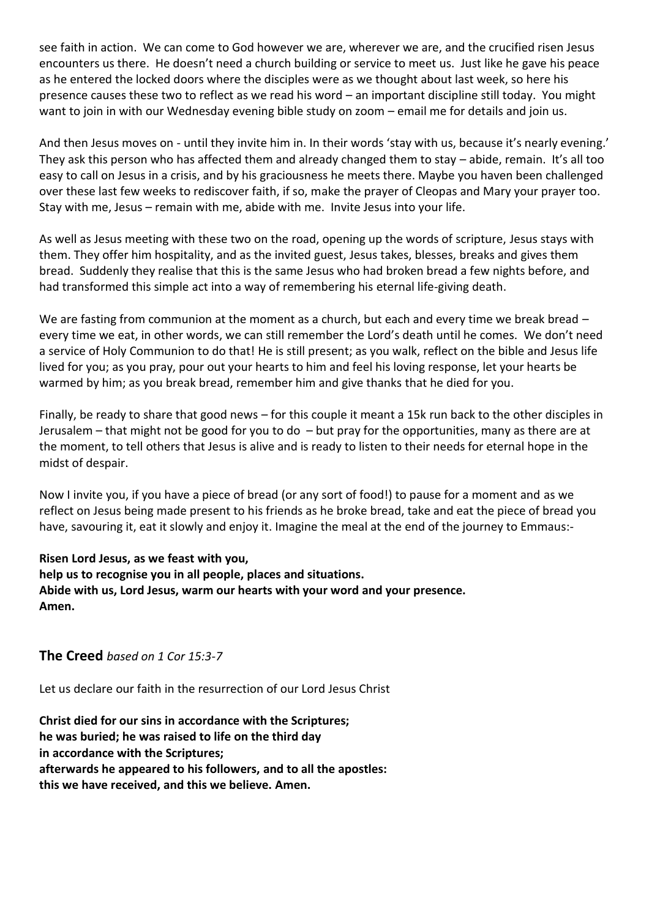see faith in action. We can come to God however we are, wherever we are, and the crucified risen Jesus encounters us there. He doesn't need a church building or service to meet us. Just like he gave his peace as he entered the locked doors where the disciples were as we thought about last week, so here his presence causes these two to reflect as we read his word – an important discipline still today. You might want to join in with our Wednesday evening bible study on zoom – email me for details and join us.

And then Jesus moves on - until they invite him in. In their words 'stay with us, because it's nearly evening.' They ask this person who has affected them and already changed them to stay – abide, remain. It's all too easy to call on Jesus in a crisis, and by his graciousness he meets there. Maybe you haven been challenged over these last few weeks to rediscover faith, if so, make the prayer of Cleopas and Mary your prayer too. Stay with me, Jesus – remain with me, abide with me. Invite Jesus into your life.

As well as Jesus meeting with these two on the road, opening up the words of scripture, Jesus stays with them. They offer him hospitality, and as the invited guest, Jesus takes, blesses, breaks and gives them bread. Suddenly they realise that this is the same Jesus who had broken bread a few nights before, and had transformed this simple act into a way of remembering his eternal life-giving death.

We are fasting from communion at the moment as a church, but each and every time we break bread – every time we eat, in other words, we can still remember the Lord's death until he comes. We don't need a service of Holy Communion to do that! He is still present; as you walk, reflect on the bible and Jesus life lived for you; as you pray, pour out your hearts to him and feel his loving response, let your hearts be warmed by him; as you break bread, remember him and give thanks that he died for you.

Finally, be ready to share that good news – for this couple it meant a 15k run back to the other disciples in Jerusalem – that might not be good for you to do – but pray for the opportunities, many as there are at the moment, to tell others that Jesus is alive and is ready to listen to their needs for eternal hope in the midst of despair.

Now I invite you, if you have a piece of bread (or any sort of food!) to pause for a moment and as we reflect on Jesus being made present to his friends as he broke bread, take and eat the piece of bread you have, savouring it, eat it slowly and enjoy it. Imagine the meal at the end of the journey to Emmaus:-

**Risen Lord Jesus, as we feast with you, help us to recognise you in all people, places and situations. Abide with us, Lord Jesus, warm our hearts with your word and your presence. Amen.**

**The Creed** *based on 1 Cor 15:3-7*

Let us declare our faith in the resurrection of our Lord Jesus Christ

**Christ died for our sins in accordance with the Scriptures; he was buried; he was raised to life on the third day in accordance with the Scriptures; afterwards he appeared to his followers, and to all the apostles: this we have received, and this we believe. Amen.**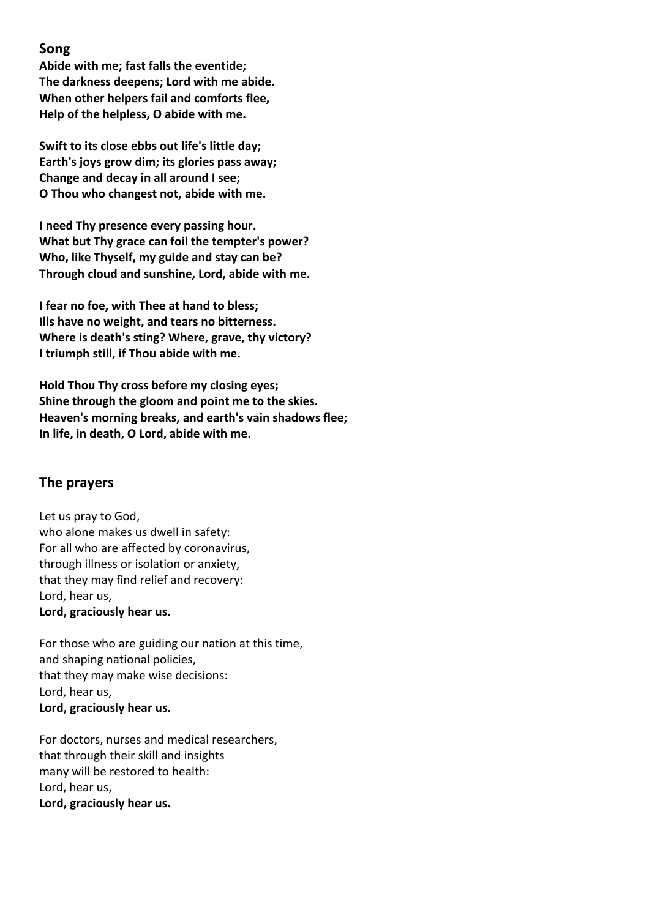### **Song**

**Abide with me; fast falls the eventide; The darkness deepens; Lord with me abide. When other helpers fail and comforts flee, Help of the helpless, O abide with me.**

**Swift to its close ebbs out life's little day; Earth's joys grow dim; its glories pass away; Change and decay in all around I see; O Thou who changest not, abide with me.**

**I need Thy presence every passing hour. What but Thy grace can foil the tempter's power? Who, like Thyself, my guide and stay can be? Through cloud and sunshine, Lord, abide with me.**

**I fear no foe, with Thee at hand to bless; Ills have no weight, and tears no bitterness. Where is death's sting? Where, grave, thy victory? I triumph still, if Thou abide with me.**

**Hold Thou Thy cross before my closing eyes; Shine through the gloom and point me to the skies. Heaven's morning breaks, and earth's vain shadows flee; In life, in death, O Lord, abide with me.**

### **The prayers**

Let us pray to God, who alone makes us dwell in safety: For all who are affected by coronavirus, through illness or isolation or anxiety, that they may find relief and recovery: Lord, hear us, **Lord, graciously hear us.**

For those who are guiding our nation at this time, and shaping national policies, that they may make wise decisions: Lord, hear us, **Lord, graciously hear us.**

For doctors, nurses and medical researchers, that through their skill and insights many will be restored to health: Lord, hear us, **Lord, graciously hear us.**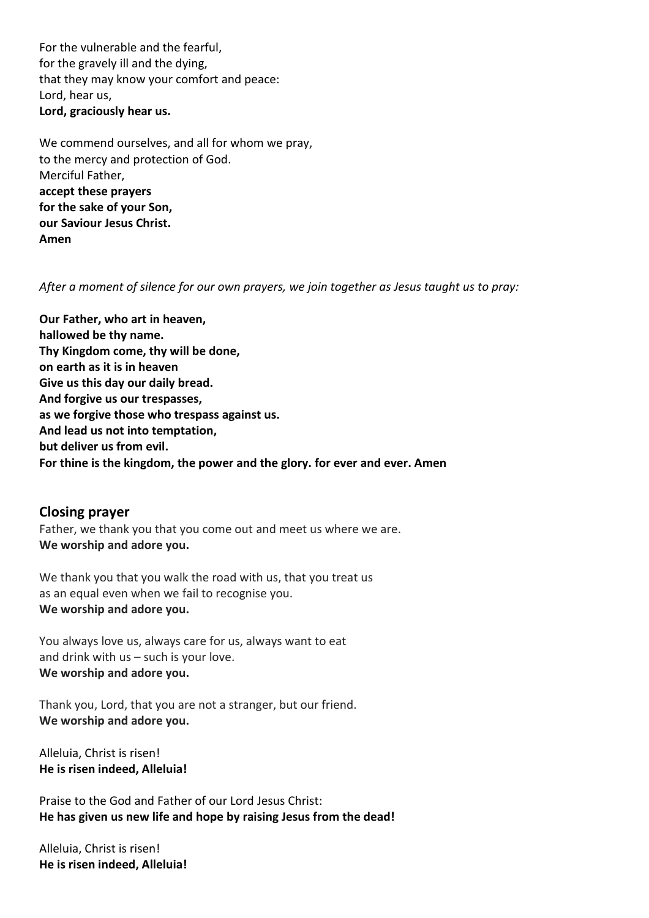For the vulnerable and the fearful, for the gravely ill and the dying, that they may know your comfort and peace: Lord, hear us, **Lord, graciously hear us.**

We commend ourselves, and all for whom we pray, to the mercy and protection of God. Merciful Father, **accept these prayers for the sake of your Son, our Saviour Jesus Christ. Amen**

*After a moment of silence for our own prayers, we join together as Jesus taught us to pray:*

**Our Father, who art in heaven, hallowed be thy name. Thy Kingdom come, thy will be done, on earth as it is in heaven Give us this day our daily bread. And forgive us our trespasses, as we forgive those who trespass against us. And lead us not into temptation, but deliver us from evil. For thine is the kingdom, the power and the glory. for ever and ever. Amen**

### **Closing prayer**

Father, we thank you that you come out and meet us where we are. **We worship and adore you.**

We thank you that you walk the road with us, that you treat us as an equal even when we fail to recognise you. **We worship and adore you.**

You always love us, always care for us, always want to eat and drink with us – such is your love. **We worship and adore you.**

Thank you, Lord, that you are not a stranger, but our friend. **We worship and adore you.**

Alleluia, Christ is risen! **He is risen indeed, Alleluia!**

Praise to the God and Father of our Lord Jesus Christ: **He has given us new life and hope by raising Jesus from the dead!**

Alleluia, Christ is risen! **He is risen indeed, Alleluia!**